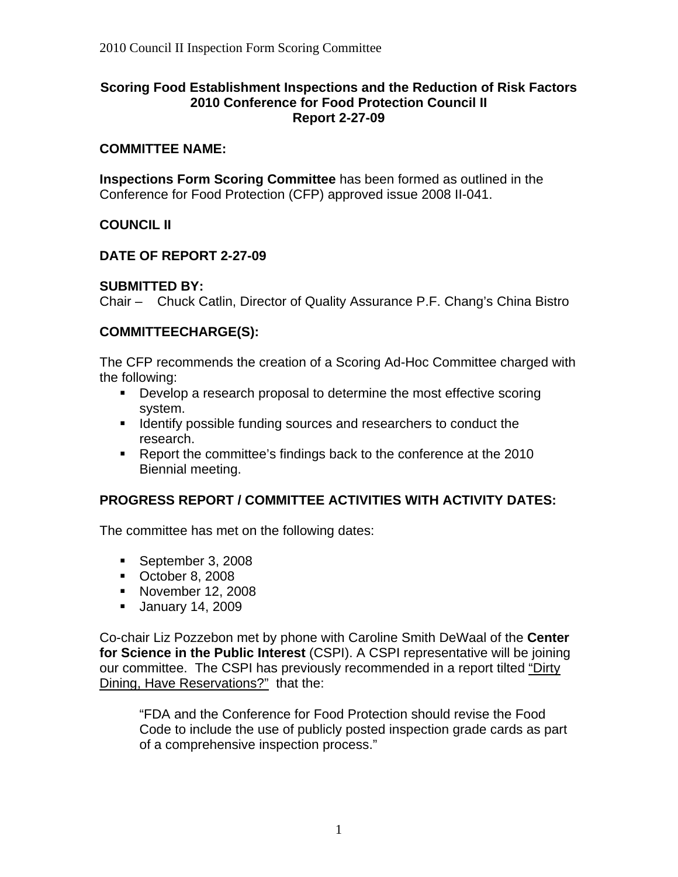#### **Scoring Food Establishment Inspections and the Reduction of Risk Factors 2010 Conference for Food Protection Council II Report 2-27-09**

#### **COMMITTEE NAME:**

**Inspections Form Scoring Committee** has been formed as outlined in the Conference for Food Protection (CFP) approved issue 2008 II-041.

# **COUNCIL II**

### **DATE OF REPORT 2-27-09**

# **SUBMITTED BY:**

Chair – Chuck Catlin, Director of Quality Assurance P.F. Chang's China Bistro

### **COMMITTEECHARGE(S):**

The CFP recommends the creation of a Scoring Ad-Hoc Committee charged with the following:

- **Develop a research proposal to determine the most effective scoring** system.
- **If Identify possible funding sources and researchers to conduct the** research.
- Report the committee's findings back to the conference at the 2010 Biennial meeting.

# **PROGRESS REPORT / COMMITTEE ACTIVITIES WITH ACTIVITY DATES:**

The committee has met on the following dates:

- September 3, 2008
- October 8, 2008
- **November 12, 2008**
- **January 14, 2009**

Co-chair Liz Pozzebon met by phone with Caroline Smith DeWaal of the **Center for Science in the Public Interest** (CSPI). A CSPI representative will be joining our committee. The CSPI has previously recommended in a report tilted "Dirty Dining, Have Reservations?" that the:

"FDA and the Conference for Food Protection should revise the Food Code to include the use of publicly posted inspection grade cards as part of a comprehensive inspection process."